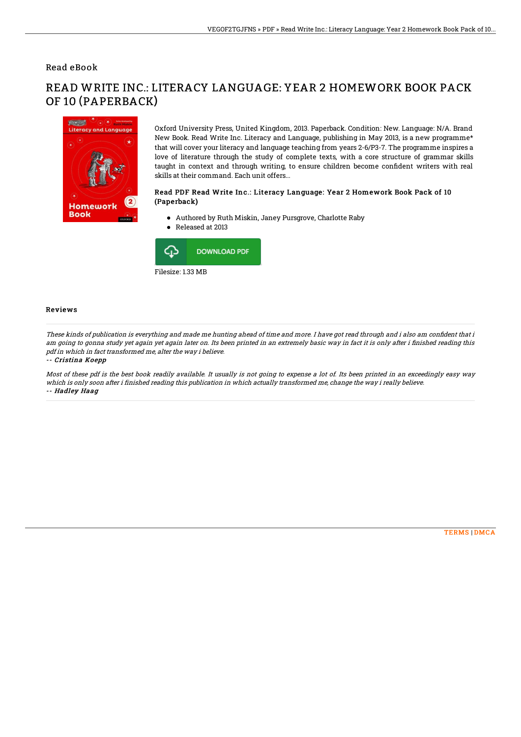## Read eBook



READ WRITE INC.: LITERACY LANGUAGE: YEAR 2 HOMEWORK BOOK PACK OF 10 (PAPERBACK)

> Oxford University Press, United Kingdom, 2013. Paperback. Condition: New. Language: N/A. Brand New Book. Read Write Inc. Literacy and Language, publishing in May 2013, is a new programme\* that will cover your literacy and language teaching from years 2-6/P3-7. The programme inspires a love of literature through the study of complete texts, with a core structure of grammar skills taught in context and through writing, to ensure children become confident writers with real skills at their command. Each unit offers...

### Read PDF Read Write Inc.: Literacy Language: Year 2 Homework Book Pack of 10 (Paperback)

- Authored by Ruth Miskin, Janey Pursgrove, Charlotte Raby
- Released at 2013



#### Reviews

These kinds of publication is everything and made me hunting ahead of time and more. I have got read through and i also am confident that i am going to gonna study yet again yet again later on. Its been printed in an extremely basic way in fact it is only after i finished reading this pdf in which in fact transformed me, alter the way i believe.

#### -- Cristina Koepp

Most of these pdf is the best book readily available. It usually is not going to expense <sup>a</sup> lot of. Its been printed in an exceedingly easy way which is only soon after i finished reading this publication in which actually transformed me, change the way i really believe. -- Hadley Haag